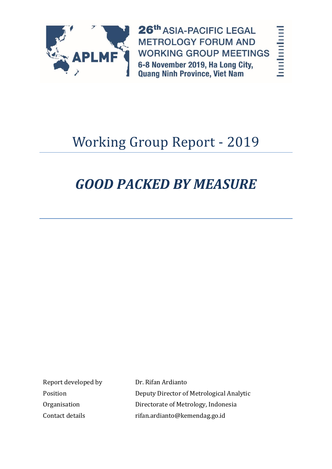

26th ASIA-PACIFIC LEGAL **METROLOGY FORUM AND WORKING GROUP MEETINGS** 6-8 November 2019, Ha Long City, **Quang Ninh Province, Viet Nam** 

harthaniand

# Working Group Report - 2019

# *GOOD PACKED BY MEASURE*

Report developed by Dr. Rifan Ardianto

Position Deputy Director of Metrological Analytic Organisation Directorate of Metrology, Indonesia Contact details rifan.ardianto@kemendag.go.id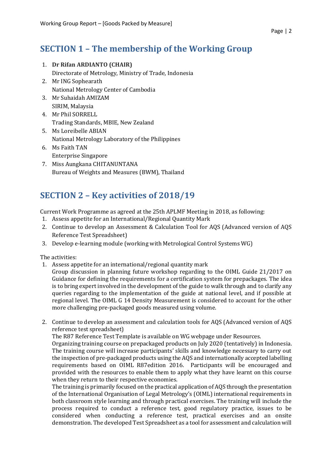### **SECTION 1 – The membership of the Working Group**

- 1. **Dr Rifan ARDIANTO (CHAIR)** Directorate of Metrology, Ministry of Trade, Indonesia
- 2. Mr ING Sophearath National Metrology Center of Cambodia
- 3. Mr Suhaidah AMIZAM SIRIM, Malaysia
- 4. Mr Phil SORRELL Trading Standards, MBIE, New Zealand
- 5. Ms Loreibelle ABIAN National Metrology Laboratory of the Philippines
- 6. Ms Faith TAN Enterprise Singapore
- 7. Miss Aungkana CHITANUNTANA Bureau of Weights and Measures (BWM), Thailand

## **SECTION 2 – Key activities of 2018/19**

Current Work Programme as agreed at the 25th APLMF Meeting in 2018, as following:

- 1. Assess appetite for an International/Regional Quantity Mark
- 2. Continue to develop an Assessment & Calculation Tool for AQS (Advanced version of AQS Reference Test Spreadsheet)
- 3. Develop e-learning module (working with Metrological Control Systems WG)

The activities:

- 1. Assess appetite for an international/regional quantity mark
	- Group discussion in planning future workshop regarding to the OIML Guide 21/2017 on Guidance for defining the requirements for a certification system for prepackages. The idea is to bring expert involved in the development of the guide to walk through and to clarify any queries regarding to the implementation of the guide at national level, and if possible at regional level. The OIML G 14 Density Measurement is considered to account for the other more challenging pre-packaged goods measured using volume.
- 2. Continue to develop an assessment and calculation tools for AQS (Advanced version of AQS reference test spreadsheet)

The R87 Reference Test Template is available on WG webpage under Resources.

Organizing training course on prepackaged products on July 2020 (tentatively) in Indonesia. The training course will increase participants' skills and knowledge necessary to carry out the inspection of pre-packaged products using the AQS and internationally accepted labelling requirements based on OIML R87edition 2016. Participants will be encouraged and provided with the resources to enable them to apply what they have learnt on this course when they return to their respective economies.

The training is primarily focused on the practical application of AQS through the presentation of the International Organisation of Legal Metrology's (OIML) international requirements in both classroom style learning and through practical exercises. The training will include the process required to conduct a reference test, good regulatory practice, issues to be considered when conducting a reference test, practical exercises and an onsite demonstration. The developed Test Spreadsheet as a tool for assessment and calculation will